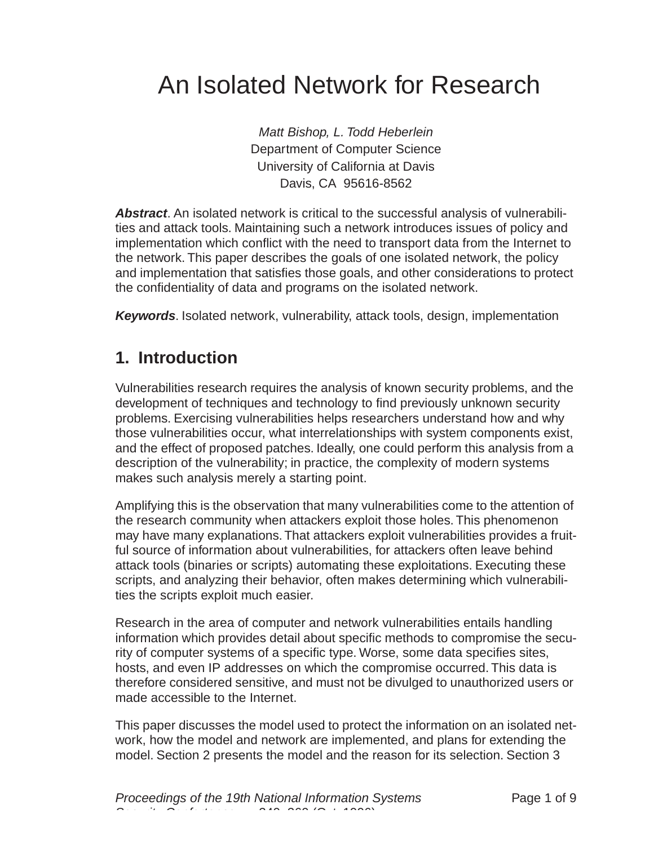# An Isolated Network for Research

Matt Bishop, L. Todd Heberlein Department of Computer Science University of California at Davis Davis, CA 95616-8562

**Abstract**. An isolated network is critical to the successful analysis of vulnerabilities and attack tools. Maintaining such a network introduces issues of policy and implementation which conflict with the need to transport data from the Internet to the network. This paper describes the goals of one isolated network, the policy and implementation that satisfies those goals, and other considerations to protect the confidentiality of data and programs on the isolated network.

**Keywords**. Isolated network, vulnerability, attack tools, design, implementation

## **1. Introduction**

Vulnerabilities research requires the analysis of known security problems, and the development of techniques and technology to find previously unknown security problems. Exercising vulnerabilities helps researchers understand how and why those vulnerabilities occur, what interrelationships with system components exist, and the effect of proposed patches. Ideally, one could perform this analysis from a description of the vulnerability; in practice, the complexity of modern systems makes such analysis merely a starting point.

Amplifying this is the observation that many vulnerabilities come to the attention of the research community when attackers exploit those holes. This phenomenon may have many explanations. That attackers exploit vulnerabilities provides a fruitful source of information about vulnerabilities, for attackers often leave behind attack tools (binaries or scripts) automating these exploitations. Executing these scripts, and analyzing their behavior, often makes determining which vulnerabilities the scripts exploit much easier.

Research in the area of computer and network vulnerabilities entails handling information which provides detail about specific methods to compromise the security of computer systems of a specific type. Worse, some data specifies sites, hosts, and even IP addresses on which the compromise occurred. This data is therefore considered sensitive, and must not be divulged to unauthorized users or made accessible to the Internet.

This paper discusses the model used to protect the information on an isolated network, how the model and network are implemented, and plans for extending the model. Section 2 presents the model and the reason for its selection. Section 3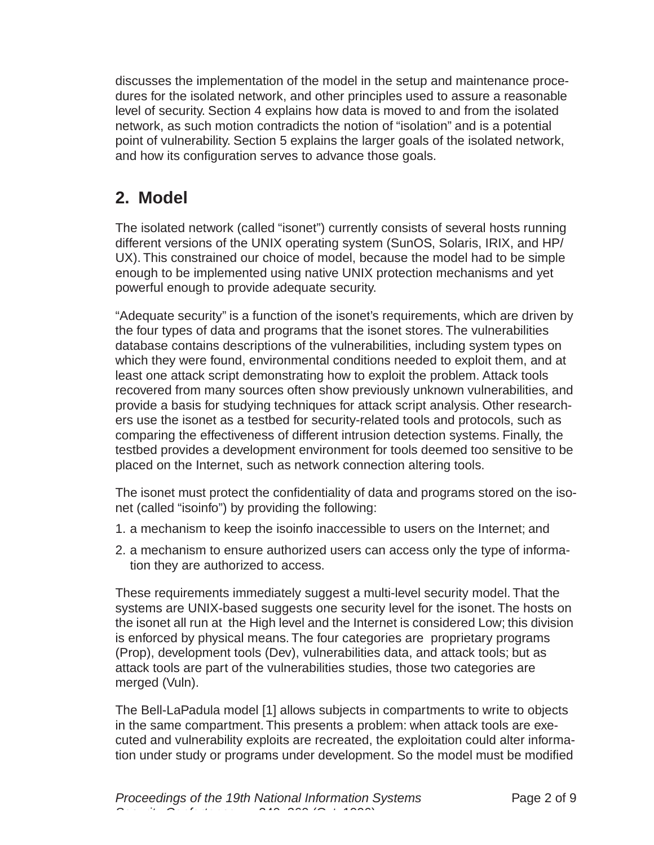discusses the implementation of the model in the setup and maintenance procedures for the isolated network, and other principles used to assure a reasonable level of security. Section 4 explains how data is moved to and from the isolated network, as such motion contradicts the notion of "isolation" and is a potential point of vulnerability. Section 5 explains the larger goals of the isolated network, and how its configuration serves to advance those goals.

## **2. Model**

The isolated network (called "isonet") currently consists of several hosts running different versions of the UNIX operating system (SunOS, Solaris, IRIX, and HP/ UX). This constrained our choice of model, because the model had to be simple enough to be implemented using native UNIX protection mechanisms and yet powerful enough to provide adequate security.

"Adequate security" is a function of the isonet's requirements, which are driven by the four types of data and programs that the isonet stores. The vulnerabilities database contains descriptions of the vulnerabilities, including system types on which they were found, environmental conditions needed to exploit them, and at least one attack script demonstrating how to exploit the problem. Attack tools recovered from many sources often show previously unknown vulnerabilities, and provide a basis for studying techniques for attack script analysis. Other researchers use the isonet as a testbed for security-related tools and protocols, such as comparing the effectiveness of different intrusion detection systems. Finally, the testbed provides a development environment for tools deemed too sensitive to be placed on the Internet, such as network connection altering tools.

The isonet must protect the confidentiality of data and programs stored on the isonet (called "isoinfo") by providing the following:

- 1. a mechanism to keep the isoinfo inaccessible to users on the Internet; and
- 2. a mechanism to ensure authorized users can access only the type of information they are authorized to access.

These requirements immediately suggest a multi-level security model. That the systems are UNIX-based suggests one security level for the isonet. The hosts on the isonet all run at the High level and the Internet is considered Low; this division is enforced by physical means. The four categories are proprietary programs (Prop), development tools (Dev), vulnerabilities data, and attack tools; but as attack tools are part of the vulnerabilities studies, those two categories are merged (Vuln).

The Bell-LaPadula model [1] allows subjects in compartments to write to objects in the same compartment. This presents a problem: when attack tools are executed and vulnerability exploits are recreated, the exploitation could alter information under study or programs under development. So the model must be modified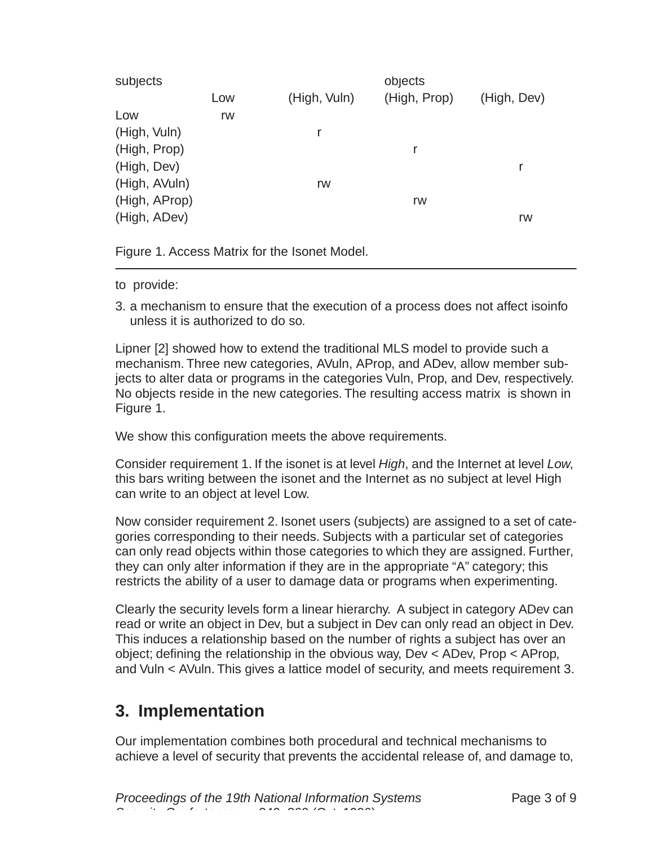| subjects      |     |              | objects      |             |
|---------------|-----|--------------|--------------|-------------|
|               | Low | (High, Vuln) | (High, Prop) | (High, Dev) |
| Low           | rw  |              |              |             |
| (High, Vuln)  |     |              |              |             |
| (High, Prop)  |     |              | r            |             |
| (High, Dev)   |     |              |              | r           |
| (High, AVuln) |     | rw           |              |             |
| (High, AProp) |     |              | rw           |             |
| (High, ADev)  |     |              |              | rw          |
|               |     |              |              |             |

Figure 1. Access Matrix for the Isonet Model.

- to provide:
- 3. a mechanism to ensure that the execution of a process does not affect isoinfo unless it is authorized to do so.

Lipner [2] showed how to extend the traditional MLS model to provide such a mechanism. Three new categories, AVuln, AProp, and ADev, allow member subjects to alter data or programs in the categories Vuln, Prop, and Dev, respectively. No objects reside in the new categories. The resulting access matrix is shown in Figure 1.

We show this configuration meets the above requirements.

Consider requirement 1. If the isonet is at level High, and the Internet at level Low, this bars writing between the isonet and the Internet as no subject at level High can write to an object at level Low.

Now consider requirement 2. Isonet users (subjects) are assigned to a set of categories corresponding to their needs. Subjects with a particular set of categories can only read objects within those categories to which they are assigned. Further, they can only alter information if they are in the appropriate "A" category; this restricts the ability of a user to damage data or programs when experimenting.

Clearly the security levels form a linear hierarchy. A subject in category ADev can read or write an object in Dev, but a subject in Dev can only read an object in Dev. This induces a relationship based on the number of rights a subject has over an object; defining the relationship in the obvious way, Dev < ADev, Prop < AProp, and Vuln < AVuln. This gives a lattice model of security, and meets requirement 3.

## **3. Implementation**

Our implementation combines both procedural and technical mechanisms to achieve a level of security that prevents the accidental release of, and damage to,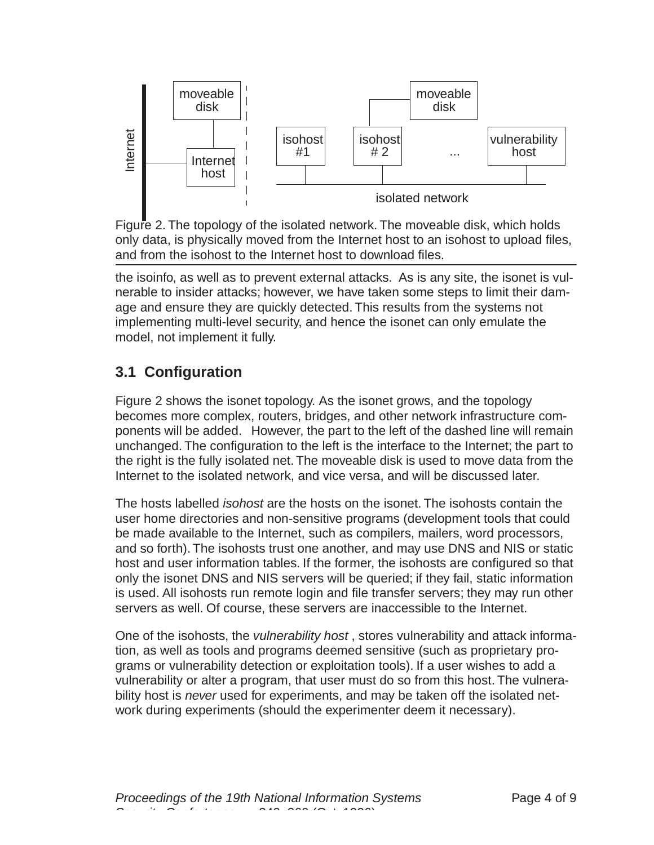

Figure 2. The topology of the isolated network. The moveable disk, which holds only data, is physically moved from the Internet host to an isohost to upload files, and from the isohost to the Internet host to download files.

the isoinfo, as well as to prevent external attacks. As is any site, the isonet is vulnerable to insider attacks; however, we have taken some steps to limit their damage and ensure they are quickly detected. This results from the systems not implementing multi-level security, and hence the isonet can only emulate the model, not implement it fully.

## **3.1 Configuration**

Figure 2 shows the isonet topology. As the isonet grows, and the topology becomes more complex, routers, bridges, and other network infrastructure components will be added. However, the part to the left of the dashed line will remain unchanged. The configuration to the left is the interface to the Internet; the part to the right is the fully isolated net. The moveable disk is used to move data from the Internet to the isolated network, and vice versa, and will be discussed later.

The hosts labelled *isohost* are the hosts on the isonet. The isohosts contain the user home directories and non-sensitive programs (development tools that could be made available to the Internet, such as compilers, mailers, word processors, and so forth). The isohosts trust one another, and may use DNS and NIS or static host and user information tables. If the former, the isohosts are configured so that only the isonet DNS and NIS servers will be queried; if they fail, static information is used. All isohosts run remote login and file transfer servers; they may run other servers as well. Of course, these servers are inaccessible to the Internet. work of the show the internet of the isototel internet internet internet into the isototel work during the experiments (showled first window the line isototele internet based on the line isototele internet based on the lin

One of the isohosts, the *vulnerability host*, stores vulnerability and attack information, as well as tools and programs deemed sensitive (such as proprietary programs or vulnerability detection or exploitation tools). If a user wishes to add a vulnerability or alter a program, that user must do so from this host. The vulnerability host is never used for experiments, and may be taken off the isolated net-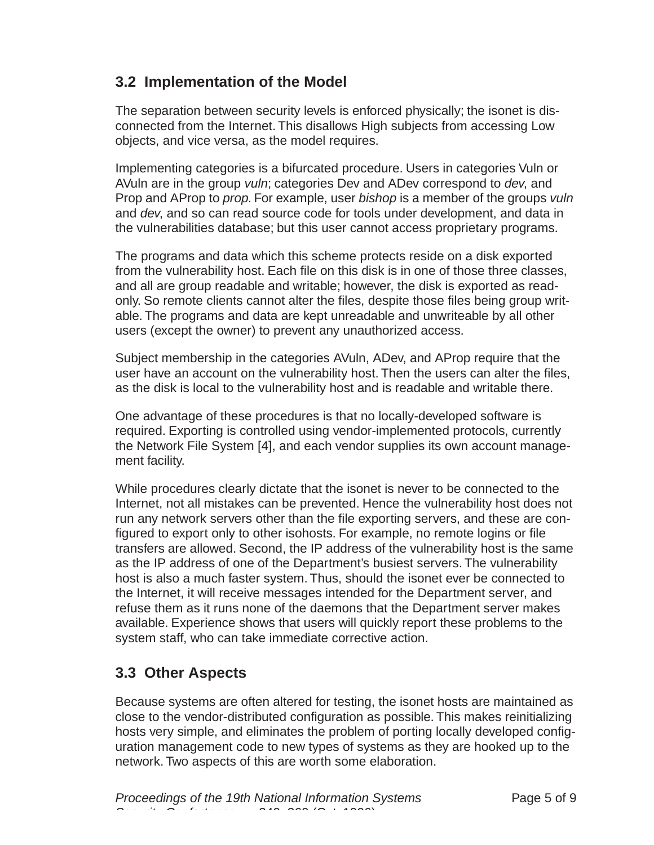#### **3.2 Implementation of the Model**

The separation between security levels is enforced physically; the isonet is disconnected from the Internet. This disallows High subjects from accessing Low objects, and vice versa, as the model requires.

Implementing categories is a bifurcated procedure. Users in categories Vuln or AVuln are in the group vuln; categories Dev and ADev correspond to dev, and Prop and AProp to *prop*. For example, user *bishop* is a member of the groups *vuln* and dev, and so can read source code for tools under development, and data in the vulnerabilities database; but this user cannot access proprietary programs.

The programs and data which this scheme protects reside on a disk exported from the vulnerability host. Each file on this disk is in one of those three classes, and all are group readable and writable; however, the disk is exported as readonly. So remote clients cannot alter the files, despite those files being group writable. The programs and data are kept unreadable and unwriteable by all other users (except the owner) to prevent any unauthorized access.

Subject membership in the categories AVuln, ADev, and AProp require that the user have an account on the vulnerability host. Then the users can alter the files, as the disk is local to the vulnerability host and is readable and writable there.

One advantage of these procedures is that no locally-developed software is required. Exporting is controlled using vendor-implemented protocols, currently the Network File System [4], and each vendor supplies its own account management facility.

While procedures clearly dictate that the isonet is never to be connected to the Internet, not all mistakes can be prevented. Hence the vulnerability host does not run any network servers other than the file exporting servers, and these are configured to export only to other isohosts. For example, no remote logins or file transfers are allowed. Second, the IP address of the vulnerability host is the same as the IP address of one of the Department's busiest servers. The vulnerability host is also a much faster system. Thus, should the isonet ever be connected to the Internet, it will receive messages intended for the Department server, and refuse them as it runs none of the daemons that the Department server makes available. Experience shows that users will quickly report these problems to the system staff, who can take immediate corrective action.

#### **3.3 Other Aspects**

Because systems are often altered for testing, the isonet hosts are maintained as close to the vendor-distributed configuration as possible. This makes reinitializing hosts very simple, and eliminates the problem of porting locally developed configuration management code to new types of systems as they are hooked up to the network. Two aspects of this are worth some elaboration.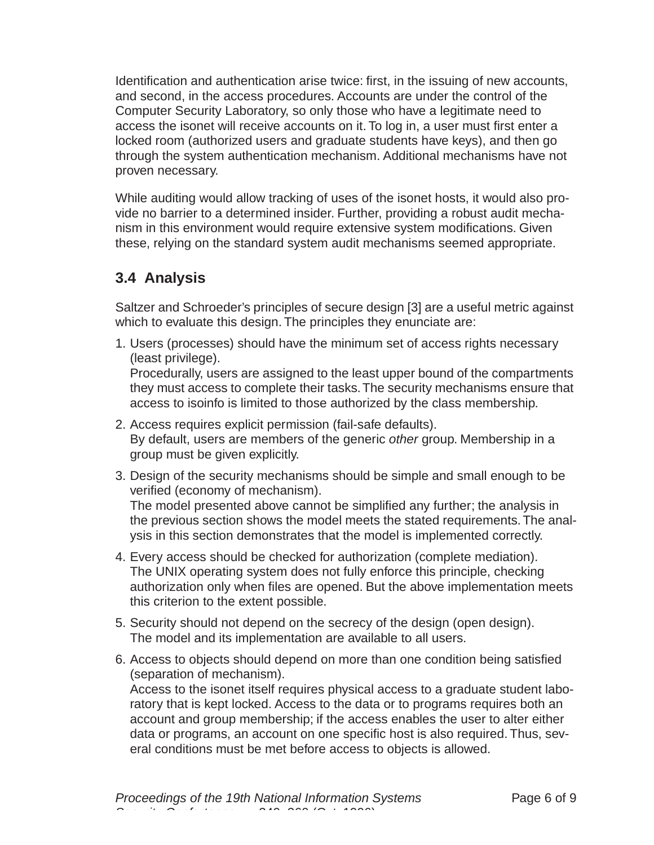Identification and authentication arise twice: first, in the issuing of new accounts, and second, in the access procedures. Accounts are under the control of the Computer Security Laboratory, so only those who have a legitimate need to access the isonet will receive accounts on it. To log in, a user must first enter a locked room (authorized users and graduate students have keys), and then go through the system authentication mechanism. Additional mechanisms have not proven necessary.

While auditing would allow tracking of uses of the isonet hosts, it would also provide no barrier to a determined insider. Further, providing a robust audit mechanism in this environment would require extensive system modifications. Given these, relying on the standard system audit mechanisms seemed appropriate.

#### **3.4 Analysis**

Saltzer and Schroeder's principles of secure design [3] are a useful metric against which to evaluate this design. The principles they enunciate are:

1. Users (processes) should have the minimum set of access rights necessary (least privilege). Procedurally, users are assigned to the least upper bound of the compartments

they must access to complete their tasks. The security mechanisms ensure that access to isoinfo is limited to those authorized by the class membership.

- 2. Access requires explicit permission (fail-safe defaults). By default, users are members of the generic other group. Membership in a group must be given explicitly.
- 3. Design of the security mechanisms should be simple and small enough to be verified (economy of mechanism). The model presented above cannot be simplified any further; the analysis in

the previous section shows the model meets the stated requirements. The analysis in this section demonstrates that the model is implemented correctly.

- 4. Every access should be checked for authorization (complete mediation). The UNIX operating system does not fully enforce this principle, checking authorization only when files are opened. But the above implementation meets this criterion to the extent possible.
- 5. Security should not depend on the secrecy of the design (open design). The model and its implementation are available to all users.
- 6. Access to objects should depend on more than one condition being satisfied (separation of mechanism).

Access to the isonet itself requires physical access to a graduate student laboratory that is kept locked. Access to the data or to programs requires both an account and group membership; if the access enables the user to alter either data or programs, an account on one specific host is also required. Thus, several conditions must be met before access to objects is allowed.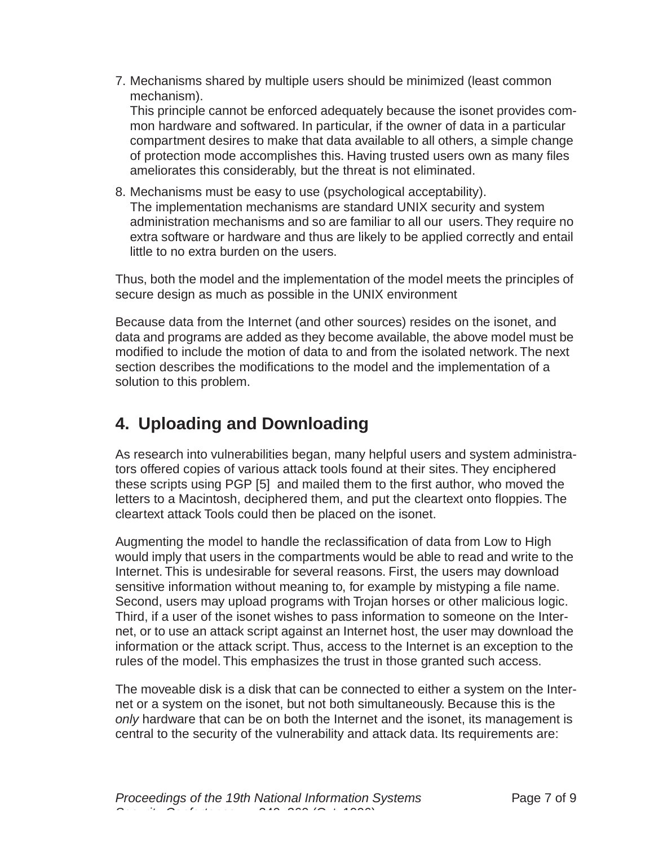7. Mechanisms shared by multiple users should be minimized (least common mechanism).

This principle cannot be enforced adequately because the isonet provides common hardware and softwared. In particular, if the owner of data in a particular compartment desires to make that data available to all others, a simple change of protection mode accomplishes this. Having trusted users own as many files ameliorates this considerably, but the threat is not eliminated.

8. Mechanisms must be easy to use (psychological acceptability). The implementation mechanisms are standard UNIX security and system administration mechanisms and so are familiar to all our users. They require no extra software or hardware and thus are likely to be applied correctly and entail little to no extra burden on the users.

Thus, both the model and the implementation of the model meets the principles of secure design as much as possible in the UNIX environment

Because data from the Internet (and other sources) resides on the isonet, and data and programs are added as they become available, the above model must be modified to include the motion of data to and from the isolated network. The next section describes the modifications to the model and the implementation of a solution to this problem.

## **4. Uploading and Downloading**

As research into vulnerabilities began, many helpful users and system administrators offered copies of various attack tools found at their sites. They enciphered these scripts using PGP [5] and mailed them to the first author, who moved the letters to a Macintosh, deciphered them, and put the cleartext onto floppies. The cleartext attack Tools could then be placed on the isonet.

Augmenting the model to handle the reclassification of data from Low to High would imply that users in the compartments would be able to read and write to the Internet. This is undesirable for several reasons. First, the users may download sensitive information without meaning to, for example by mistyping a file name. Second, users may upload programs with Trojan horses or other malicious logic. Third, if a user of the isonet wishes to pass information to someone on the Internet, or to use an attack script against an Internet host, the user may download the information or the attack script. Thus, access to the Internet is an exception to the rules of the model. This emphasizes the trust in those granted such access.

The moveable disk is a disk that can be connected to either a system on the Internet or a system on the isonet, but not both simultaneously. Because this is the only hardware that can be on both the Internet and the isonet, its management is central to the security of the vulnerability and attack data. Its requirements are: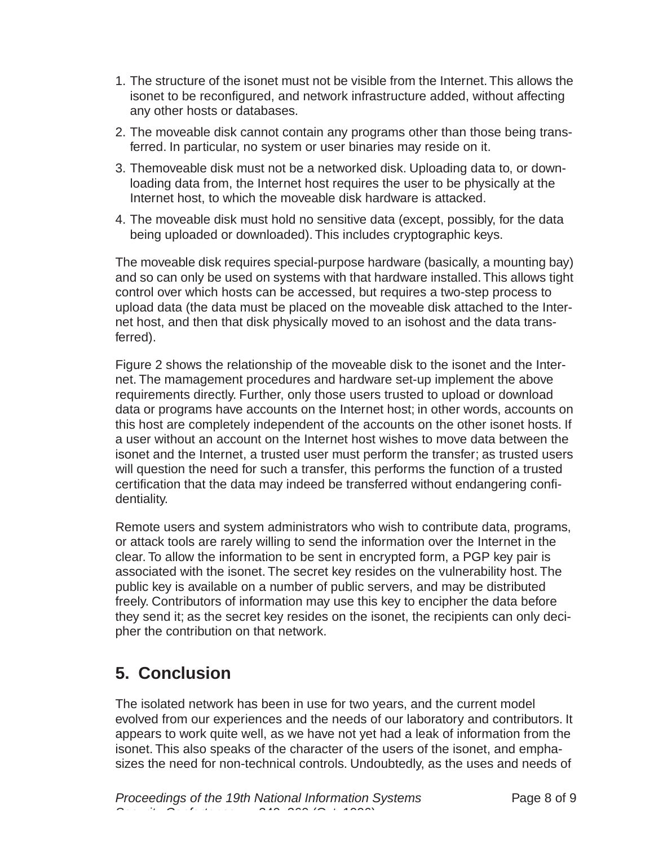- 1. The structure of the isonet must not be visible from the Internet. This allows the isonet to be reconfigured, and network infrastructure added, without affecting any other hosts or databases.
- 2. The moveable disk cannot contain any programs other than those being transferred. In particular, no system or user binaries may reside on it.
- 3. Themoveable disk must not be a networked disk. Uploading data to, or downloading data from, the Internet host requires the user to be physically at the Internet host, to which the moveable disk hardware is attacked.
- 4. The moveable disk must hold no sensitive data (except, possibly, for the data being uploaded or downloaded). This includes cryptographic keys.

The moveable disk requires special-purpose hardware (basically, a mounting bay) and so can only be used on systems with that hardware installed. This allows tight control over which hosts can be accessed, but requires a two-step process to upload data (the data must be placed on the moveable disk attached to the Internet host, and then that disk physically moved to an isohost and the data transferred).

Figure 2 shows the relationship of the moveable disk to the isonet and the Internet. The mamagement procedures and hardware set-up implement the above requirements directly. Further, only those users trusted to upload or download data or programs have accounts on the Internet host; in other words, accounts on this host are completely independent of the accounts on the other isonet hosts. If a user without an account on the Internet host wishes to move data between the isonet and the Internet, a trusted user must perform the transfer; as trusted users will question the need for such a transfer, this performs the function of a trusted certification that the data may indeed be transferred without endangering confidentiality.

Remote users and system administrators who wish to contribute data, programs, or attack tools are rarely willing to send the information over the Internet in the clear. To allow the information to be sent in encrypted form, a PGP key pair is associated with the isonet. The secret key resides on the vulnerability host. The public key is available on a number of public servers, and may be distributed freely. Contributors of information may use this key to encipher the data before they send it; as the secret key resides on the isonet, the recipients can only decipher the contribution on that network.

# **5. Conclusion**

The isolated network has been in use for two years, and the current model evolved from our experiences and the needs of our laboratory and contributors. It appears to work quite well, as we have not yet had a leak of information from the isonet. This also speaks of the character of the users of the isonet, and emphasizes the need for non-technical controls. Undoubtedly, as the uses and needs of